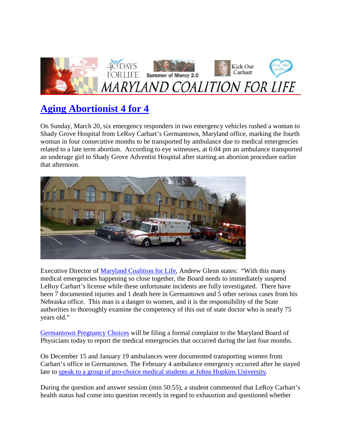

## **[Aging Abortionist 4 for 4](http://mdcoalitionforlife.com/aging-abortionist-4-for-4/)**

On Sunday, March 20, six emergency responders in two emergency vehicles rushed a woman to Shady Grove Hospital from LeRoy Carhart's Germantown, Maryland office, marking the fourth woman in four consecutive months to be transported by ambulance due to medical emergencies related to a late term abortion. According to eye witnesses, at 6:04 pm an ambulance transported an underage girl to Shady Grove Adventist Hospital after starting an abortion procedure earlier that afternoon.



Executive Director of [Maryland Coalition for Life,](http://click.icptrack.com/icp/relay.php?r=2131041&msgid=423163&act=533S&c=1030799&destination=http://mdcoalitionforlife.com/) Andrew Glenn states: "With this many medical emergencies happening so close together, the Board needs to immediately suspend LeRoy Carhart's license while these unfortunate incidents are fully investigated. There have been 7 documented injuries and 1 death here in Germantown and 5 other serious cases from his Nebraska office. This man is a danger to women, and it is the responsibility of the State authorities to thoroughly examine the competency of this out of state doctor who is nearly 75 years old."

[Germantown Pregnancy Choices](http://click.icptrack.com/icp/relay.php?r=2131041&msgid=423163&act=533S&c=1030799&destination=http://germantownpregnancychoices.com/) will be filing a formal complaint to the Maryland Board of Physicians today to report the medical emergencies that occurred during the last four months.

On December 15 and January 19 ambulances were documented transporting women from Carhart's office in Germantown. The February 4 ambulance emergency occurred after he stayed late to [speak to a group of pro-choice medical students at Johns Hopkins University.](http://click.icptrack.com/icp/relay.php?r=2131041&msgid=423163&act=533S&c=1030799&destination=http://studentsforlife.org/what-would-a-late-term-abortionist-say-to-med-students-i-found-out/)

During the question and answer session (min 50:55), a student commented that LeRoy Carhart's health status had come into question recently in regard to exhaustion and questioned whether